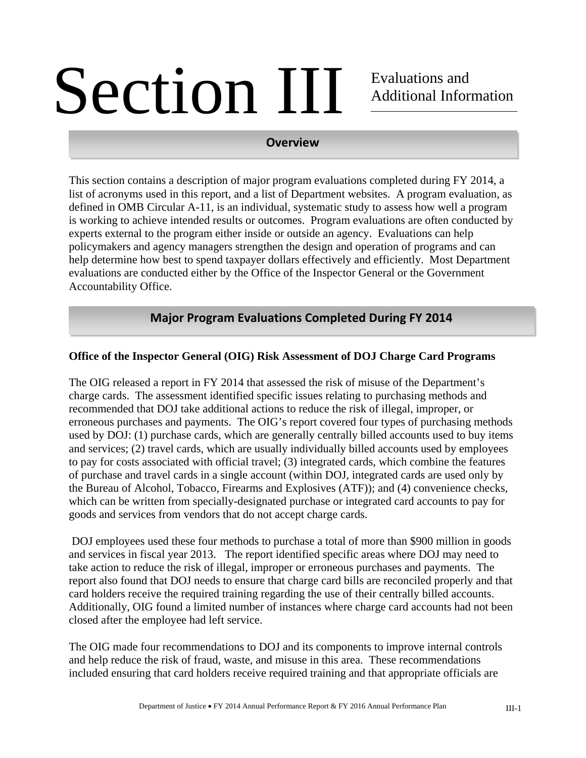# Section III Evaluations and Additional Information

# **Overview**

This section contains a description of major program evaluations completed during FY 2014, a list of acronyms used in this report, and a list of Department websites. A program evaluation, as defined in OMB Circular A-11, is an individual, systematic study to assess how well a program is working to achieve intended results or outcomes. Program evaluations are often conducted by experts external to the program either inside or outside an agency. Evaluations can help policymakers and agency managers strengthen the design and operation of programs and can help determine how best to spend taxpayer dollars effectively and efficiently. Most Department evaluations are conducted either by the Office of the Inspector General or the Government Accountability Office.

# **Major Program Evaluations Completed During FY 2014**

# **Office of the Inspector General (OIG) Risk Assessment of DOJ Charge Card Programs**

The OIG released a report in FY 2014 that assessed the risk of misuse of the Department's charge cards. The assessment identified specific issues relating to purchasing methods and recommended that DOJ take additional actions to reduce the risk of illegal, improper, or erroneous purchases and payments. The OIG's report covered four types of purchasing methods used by DOJ: (1) purchase cards, which are generally centrally billed accounts used to buy items and services; (2) travel cards, which are usually individually billed accounts used by employees to pay for costs associated with official travel; (3) integrated cards, which combine the features of purchase and travel cards in a single account (within DOJ, integrated cards are used only by the Bureau of Alcohol, Tobacco, Firearms and Explosives (ATF)); and (4) convenience checks, which can be written from specially-designated purchase or integrated card accounts to pay for goods and services from vendors that do not accept charge cards.

 DOJ employees used these four methods to purchase a total of more than \$900 million in goods and services in fiscal year 2013. The report identified specific areas where DOJ may need to take action to reduce the risk of illegal, improper or erroneous purchases and payments. The report also found that DOJ needs to ensure that charge card bills are reconciled properly and that card holders receive the required training regarding the use of their centrally billed accounts. Additionally, OIG found a limited number of instances where charge card accounts had not been closed after the employee had left service.

The OIG made four recommendations to DOJ and its components to improve internal controls and help reduce the risk of fraud, waste, and misuse in this area. These recommendations included ensuring that card holders receive required training and that appropriate officials are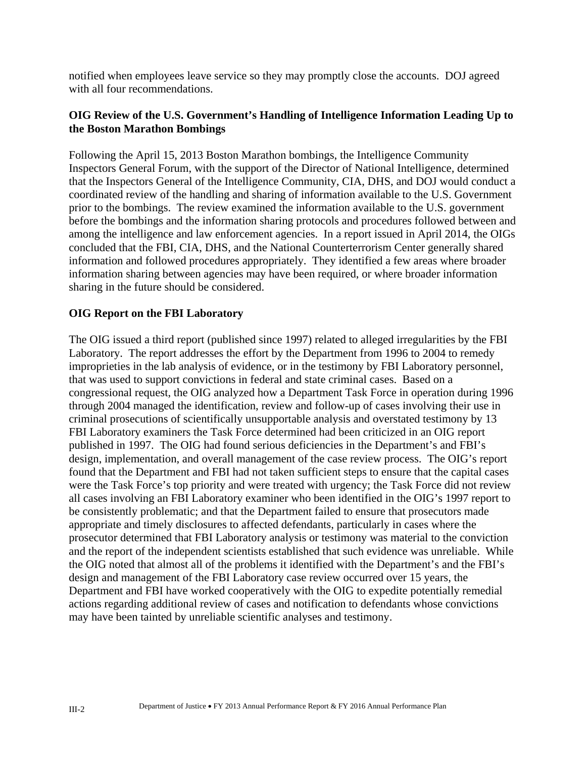notified when employees leave service so they may promptly close the accounts. DOJ agreed with all four recommendations.

# **OIG Review of the U.S. Government's Handling of Intelligence Information Leading Up to the Boston Marathon Bombings**

Following the April 15, 2013 Boston Marathon bombings, the Intelligence Community Inspectors General Forum, with the support of the Director of National Intelligence, determined that the Inspectors General of the Intelligence Community, CIA, DHS, and DOJ would conduct a coordinated review of the handling and sharing of information available to the U.S. Government prior to the bombings. The review examined the information available to the U.S. government before the bombings and the information sharing protocols and procedures followed between and among the intelligence and law enforcement agencies. In a report issued in April 2014, the OIGs concluded that the FBI, CIA, DHS, and the National Counterterrorism Center generally shared information and followed procedures appropriately. They identified a few areas where broader information sharing between agencies may have been required, or where broader information sharing in the future should be considered.

#### **OIG Report on the FBI Laboratory**

The OIG issued a third report (published since 1997) related to alleged irregularities by the FBI Laboratory. The report addresses the effort by the Department from 1996 to 2004 to remedy improprieties in the lab analysis of evidence, or in the testimony by FBI Laboratory personnel, that was used to support convictions in federal and state criminal cases. Based on a congressional request, the OIG analyzed how a Department Task Force in operation during 1996 through 2004 managed the identification, review and follow-up of cases involving their use in criminal prosecutions of scientifically unsupportable analysis and overstated testimony by 13 FBI Laboratory examiners the Task Force determined had been criticized in an OIG report published in 1997. The OIG had found serious deficiencies in the Department's and FBI's design, implementation, and overall management of the case review process. The OIG's report found that the Department and FBI had not taken sufficient steps to ensure that the capital cases were the Task Force's top priority and were treated with urgency; the Task Force did not review all cases involving an FBI Laboratory examiner who been identified in the OIG's 1997 report to be consistently problematic; and that the Department failed to ensure that prosecutors made appropriate and timely disclosures to affected defendants, particularly in cases where the prosecutor determined that FBI Laboratory analysis or testimony was material to the conviction and the report of the independent scientists established that such evidence was unreliable. While the OIG noted that almost all of the problems it identified with the Department's and the FBI's design and management of the FBI Laboratory case review occurred over 15 years, the Department and FBI have worked cooperatively with the OIG to expedite potentially remedial actions regarding additional review of cases and notification to defendants whose convictions may have been tainted by unreliable scientific analyses and testimony.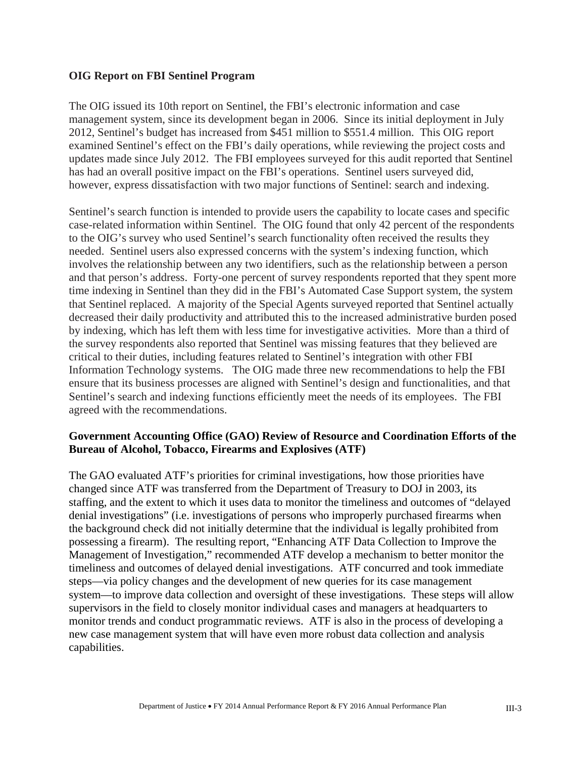#### **OIG Report on FBI Sentinel Program**

The OIG issued its 10th report on Sentinel, the FBI's electronic information and case management system, since its development began in 2006. Since its initial deployment in July 2012, Sentinel's budget has increased from \$451 million to \$551.4 million. This OIG report examined Sentinel's effect on the FBI's daily operations, while reviewing the project costs and updates made since July 2012. The FBI employees surveyed for this audit reported that Sentinel has had an overall positive impact on the FBI's operations. Sentinel users surveyed did, however, express dissatisfaction with two major functions of Sentinel: search and indexing.

Sentinel's search function is intended to provide users the capability to locate cases and specific case-related information within Sentinel. The OIG found that only 42 percent of the respondents to the OIG's survey who used Sentinel's search functionality often received the results they needed. Sentinel users also expressed concerns with the system's indexing function, which involves the relationship between any two identifiers, such as the relationship between a person and that person's address. Forty-one percent of survey respondents reported that they spent more time indexing in Sentinel than they did in the FBI's Automated Case Support system, the system that Sentinel replaced. A majority of the Special Agents surveyed reported that Sentinel actually decreased their daily productivity and attributed this to the increased administrative burden posed by indexing, which has left them with less time for investigative activities. More than a third of the survey respondents also reported that Sentinel was missing features that they believed are critical to their duties, including features related to Sentinel's integration with other FBI Information Technology systems. The OIG made three new recommendations to help the FBI ensure that its business processes are aligned with Sentinel's design and functionalities, and that Sentinel's search and indexing functions efficiently meet the needs of its employees. The FBI agreed with the recommendations.

#### **Government Accounting Office (GAO) Review of Resource and Coordination Efforts of the Bureau of Alcohol, Tobacco, Firearms and Explosives (ATF)**

The GAO evaluated ATF's priorities for criminal investigations, how those priorities have changed since ATF was transferred from the Department of Treasury to DOJ in 2003, its staffing, and the extent to which it uses data to monitor the timeliness and outcomes of "delayed denial investigations" (i.e. investigations of persons who improperly purchased firearms when the background check did not initially determine that the individual is legally prohibited from possessing a firearm). The resulting report, "Enhancing ATF Data Collection to Improve the Management of Investigation," recommended ATF develop a mechanism to better monitor the timeliness and outcomes of delayed denial investigations. ATF concurred and took immediate steps—via policy changes and the development of new queries for its case management system—to improve data collection and oversight of these investigations. These steps will allow supervisors in the field to closely monitor individual cases and managers at headquarters to monitor trends and conduct programmatic reviews. ATF is also in the process of developing a new case management system that will have even more robust data collection and analysis capabilities.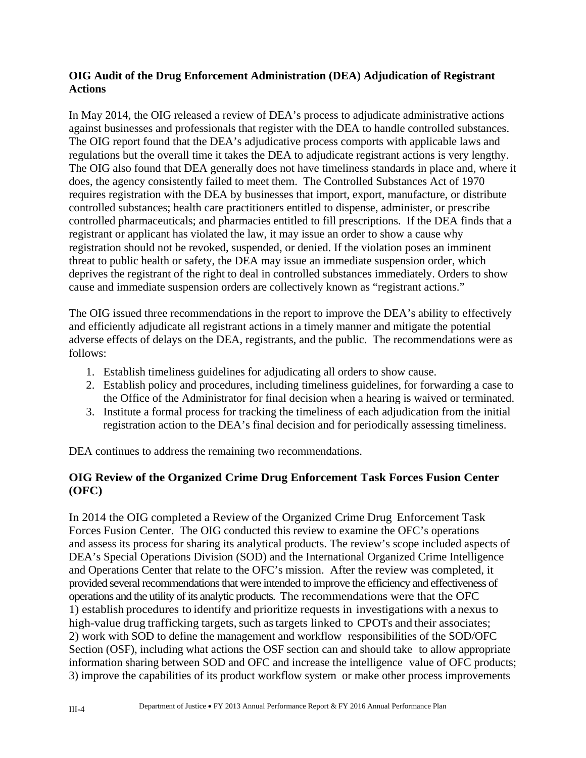### **OIG Audit of the Drug Enforcement Administration (DEA) Adjudication of Registrant Actions**

In May 2014, the OIG released a review of DEA's process to adjudicate administrative actions against businesses and professionals that register with the DEA to handle controlled substances. The OIG report found that the DEA's adjudicative process comports with applicable laws and regulations but the overall time it takes the DEA to adjudicate registrant actions is very lengthy. The OIG also found that DEA generally does not have timeliness standards in place and, where it does, the agency consistently failed to meet them. The Controlled Substances Act of 1970 requires registration with the DEA by businesses that import, export, manufacture, or distribute controlled substances; health care practitioners entitled to dispense, administer, or prescribe controlled pharmaceuticals; and pharmacies entitled to fill prescriptions. If the DEA finds that a registrant or applicant has violated the law, it may issue an order to show a cause why registration should not be revoked, suspended, or denied. If the violation poses an imminent threat to public health or safety, the DEA may issue an immediate suspension order, which deprives the registrant of the right to deal in controlled substances immediately. Orders to show cause and immediate suspension orders are collectively known as "registrant actions."

The OIG issued three recommendations in the report to improve the DEA's ability to effectively and efficiently adjudicate all registrant actions in a timely manner and mitigate the potential adverse effects of delays on the DEA, registrants, and the public. The recommendations were as follows:

- 1. Establish timeliness guidelines for adjudicating all orders to show cause.
- 2. Establish policy and procedures, including timeliness guidelines, for forwarding a case to the Office of the Administrator for final decision when a hearing is waived or terminated.
- 3. Institute a formal process for tracking the timeliness of each adjudication from the initial registration action to the DEA's final decision and for periodically assessing timeliness.

DEA continues to address the remaining two recommendations.

# **OIG Review of the Organized Crime Drug Enforcement Task Forces Fusion Center (OFC)**

 Forces Fusion Center. The OIG conducted this review to examine the OFC's operations In 2014 the OIG completed a Review of the Organized Crime Drug Enforcement Task and assess its process for sharing its analytical products. The review's scope included aspects of DEA's Special Operations Division (SOD) and the International Organized Crime Intelligence and Operations Center that relate to the OFC's mission. After the review was completed, it provided several recommendations that were intended to improve the efficiency and effectiveness of operations and the utility of its analytic products. The recommendations were that the OFC 1) establish procedures to identify and prioritize requests in investigations with a nexus to high-value drug trafficking targets, such as targets linked to CPOTs and their associates; 2) work with SOD to define the management and workflow responsibilities of the SOD/OFC Section (OSF), including what actions the OSF section can and should take to allow appropriate information sharing between SOD and OFC and increase the intelligence value of OFC products; 3) improve the capabilities of its product workflow system or make other process improvements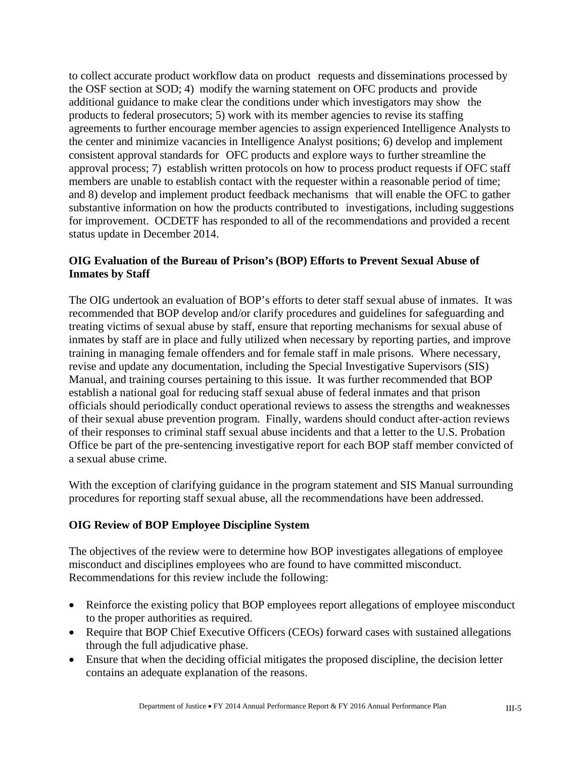additional guidance to make clear the conditions under which investigators may show the to collect accurate product workflow data on product requests and disseminations processed by the OSF section at SOD; 4) modify the warning statement on OFC products and provide products to federal prosecutors; 5) work with its member agencies to revise its staffing agreements to further encourage member agencies to assign experienced Intelligence Analysts to the center and minimize vacancies in Intelligence Analyst positions; 6) develop and implement consistent approval standards for OFC products and explore ways to further streamline the approval process; 7) establish written protocols on how to process product requests if OFC staff members are unable to establish contact with the requester within a reasonable period of time; and 8) develop and implement product feedback mechanisms that will enable the OFC to gather substantive information on how the products contributed to investigations, including suggestions for improvement. OCDETF has responded to all of the recommendations and provided a recent status update in December 2014.

# **OIG Evaluation of the Bureau of Prison's (BOP) Efforts to Prevent Sexual Abuse of Inmates by Staff**

The OIG undertook an evaluation of BOP's efforts to deter staff sexual abuse of inmates. It was recommended that BOP develop and/or clarify procedures and guidelines for safeguarding and treating victims of sexual abuse by staff, ensure that reporting mechanisms for sexual abuse of inmates by staff are in place and fully utilized when necessary by reporting parties, and improve training in managing female offenders and for female staff in male prisons. Where necessary, revise and update any documentation, including the Special Investigative Supervisors (SIS) Manual, and training courses pertaining to this issue. It was further recommended that BOP establish a national goal for reducing staff sexual abuse of federal inmates and that prison officials should periodically conduct operational reviews to assess the strengths and weaknesses of their sexual abuse prevention program. Finally, wardens should conduct after-action reviews of their responses to criminal staff sexual abuse incidents and that a letter to the U.S. Probation Office be part of the pre-sentencing investigative report for each BOP staff member convicted of a sexual abuse crime.

With the exception of clarifying guidance in the program statement and SIS Manual surrounding procedures for reporting staff sexual abuse, all the recommendations have been addressed.

# **OIG Review of BOP Employee Discipline System**

 misconduct and disciplines employees who are found to have committed misconduct. Recommendations for this review include the following: The objectives of the review were to determine how BOP investigates allegations of employee

- Reinforce the existing policy that BOP employees report allegations of employee misconduct to the proper authorities as required.
- Require that BOP Chief Executive Officers (CEOs) forward cases with sustained allegations through the full adjudicative phase.
- Ensure that when the deciding official mitigates the proposed discipline, the decision letter contains an adequate explanation of the reasons.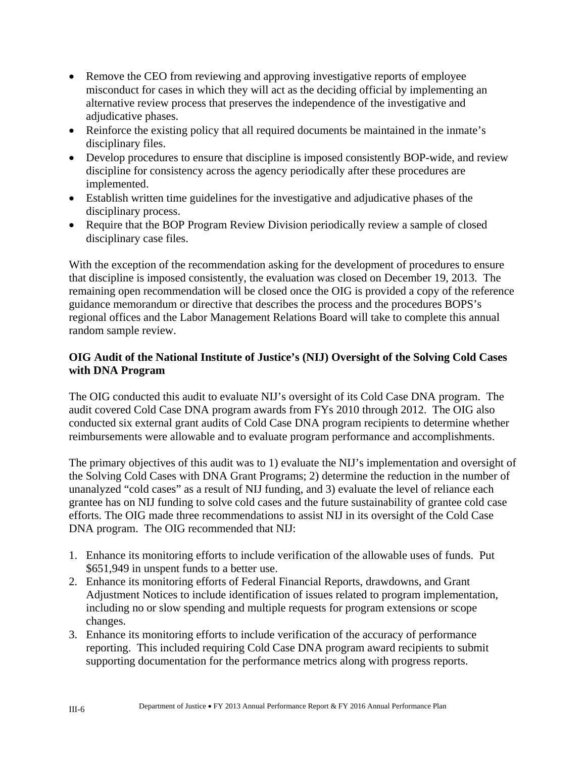- Remove the CEO from reviewing and approving investigative reports of employee misconduct for cases in which they will act as the deciding official by implementing an alternative review process that preserves the independence of the investigative and adjudicative phases.
- Reinforce the existing policy that all required documents be maintained in the inmate's disciplinary files.
- Develop procedures to ensure that discipline is imposed consistently BOP-wide, and review discipline for consistency across the agency periodically after these procedures are implemented.
- Establish written time guidelines for the investigative and adjudicative phases of the disciplinary process.
- Require that the BOP Program Review Division periodically review a sample of closed disciplinary case files.

With the exception of the recommendation asking for the development of procedures to ensure that discipline is imposed consistently, the evaluation was closed on December 19, 2013. The remaining open recommendation will be closed once the OIG is provided a copy of the reference guidance memorandum or directive that describes the process and the procedures BOPS's regional offices and the Labor Management Relations Board will take to complete this annual random sample review.

# **OIG Audit of the National Institute of Justice's (NIJ) Oversight of the Solving Cold Cases with DNA Program**

The OIG conducted this audit to evaluate NIJ's oversight of its Cold Case DNA program. The audit covered Cold Case DNA program awards from FYs 2010 through 2012. The OIG also conducted six external grant audits of Cold Case DNA program recipients to determine whether reimbursements were allowable and to evaluate program performance and accomplishments.

The primary objectives of this audit was to 1) evaluate the NIJ's implementation and oversight of the Solving Cold Cases with DNA Grant Programs; 2) determine the reduction in the number of unanalyzed "cold cases" as a result of NIJ funding, and 3) evaluate the level of reliance each grantee has on NIJ funding to solve cold cases and the future sustainability of grantee cold case efforts. The OIG made three recommendations to assist NIJ in its oversight of the Cold Case DNA program. The OIG recommended that NIJ:

- 1. Enhance its monitoring efforts to include verification of the allowable uses of funds. Put \$651,949 in unspent funds to a better use.
- 2. Enhance its monitoring efforts of Federal Financial Reports, drawdowns, and Grant Adjustment Notices to include identification of issues related to program implementation, including no or slow spending and multiple requests for program extensions or scope changes.
- 3. Enhance its monitoring efforts to include verification of the accuracy of performance reporting. This included requiring Cold Case DNA program award recipients to submit supporting documentation for the performance metrics along with progress reports.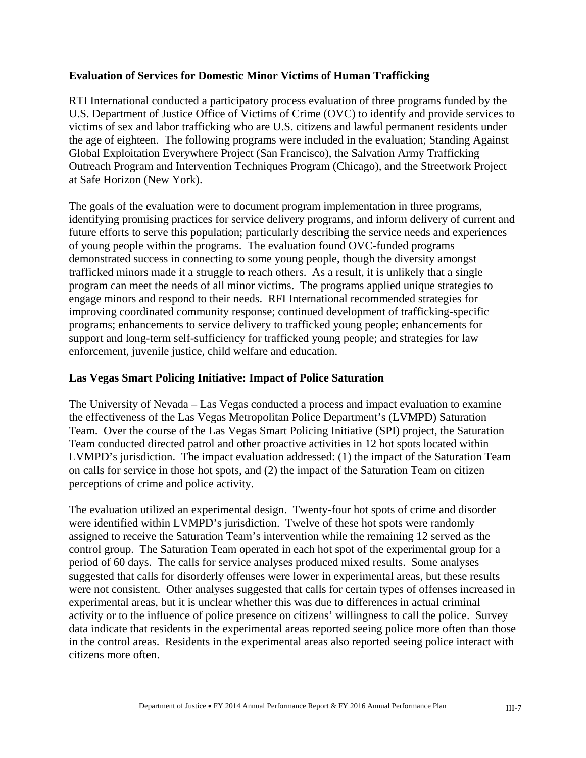#### **Evaluation of Services for Domestic Minor Victims of Human Trafficking**

RTI International conducted a participatory process evaluation of three programs funded by the U.S. Department of Justice Office of Victims of Crime (OVC) to identify and provide services to victims of sex and labor trafficking who are U.S. citizens and lawful permanent residents under the age of eighteen. The following programs were included in the evaluation; Standing Against Global Exploitation Everywhere Project (San Francisco), the Salvation Army Trafficking Outreach Program and Intervention Techniques Program (Chicago), and the Streetwork Project at Safe Horizon (New York).

The goals of the evaluation were to document program implementation in three programs, identifying promising practices for service delivery programs, and inform delivery of current and future efforts to serve this population; particularly describing the service needs and experiences of young people within the programs. The evaluation found OVC-funded programs demonstrated success in connecting to some young people, though the diversity amongst trafficked minors made it a struggle to reach others. As a result, it is unlikely that a single program can meet the needs of all minor victims. The programs applied unique strategies to engage minors and respond to their needs. RFI International recommended strategies for improving coordinated community response; continued development of trafficking-specific programs; enhancements to service delivery to trafficked young people; enhancements for support and long-term self-sufficiency for trafficked young people; and strategies for law enforcement, juvenile justice, child welfare and education.

#### **Las Vegas Smart Policing Initiative: Impact of Police Saturation**

The University of Nevada – Las Vegas conducted a process and impact evaluation to examine the effectiveness of the Las Vegas Metropolitan Police Department's (LVMPD) Saturation Team. Over the course of the Las Vegas Smart Policing Initiative (SPI) project, the Saturation Team conducted directed patrol and other proactive activities in 12 hot spots located within LVMPD's jurisdiction. The impact evaluation addressed: (1) the impact of the Saturation Team on calls for service in those hot spots, and (2) the impact of the Saturation Team on citizen perceptions of crime and police activity.

The evaluation utilized an experimental design. Twenty-four hot spots of crime and disorder were identified within LVMPD's jurisdiction. Twelve of these hot spots were randomly assigned to receive the Saturation Team's intervention while the remaining 12 served as the control group. The Saturation Team operated in each hot spot of the experimental group for a period of 60 days. The calls for service analyses produced mixed results. Some analyses suggested that calls for disorderly offenses were lower in experimental areas, but these results were not consistent. Other analyses suggested that calls for certain types of offenses increased in experimental areas, but it is unclear whether this was due to differences in actual criminal activity or to the influence of police presence on citizens' willingness to call the police. Survey data indicate that residents in the experimental areas reported seeing police more often than those in the control areas. Residents in the experimental areas also reported seeing police interact with citizens more often.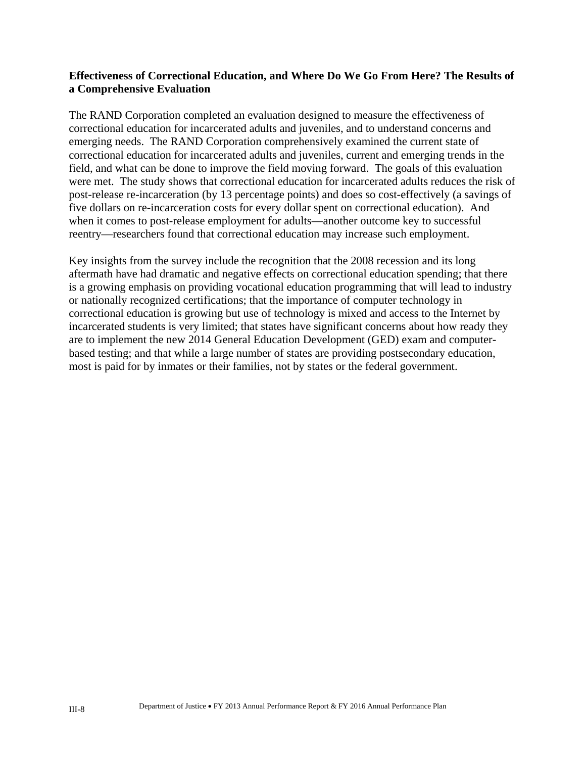#### **Effectiveness of Correctional Education, and Where Do We Go From Here? The Results of a Comprehensive Evaluation**

The RAND Corporation completed an evaluation designed to measure the effectiveness of correctional education for incarcerated adults and juveniles, and to understand concerns and emerging needs. The RAND Corporation comprehensively examined the current state of correctional education for incarcerated adults and juveniles, current and emerging trends in the field, and what can be done to improve the field moving forward. The goals of this evaluation were met. The study shows that correctional education for incarcerated adults reduces the risk of post-release re-incarceration (by 13 percentage points) and does so cost-effectively (a savings of five dollars on re-incarceration costs for every dollar spent on correctional education). And when it comes to post-release employment for adults—another outcome key to successful reentry—researchers found that correctional education may increase such employment.

Key insights from the survey include the recognition that the 2008 recession and its long aftermath have had dramatic and negative effects on correctional education spending; that there is a growing emphasis on providing vocational education programming that will lead to industry or nationally recognized certifications; that the importance of computer technology in correctional education is growing but use of technology is mixed and access to the Internet by incarcerated students is very limited; that states have significant concerns about how ready they are to implement the new 2014 General Education Development (GED) exam and computerbased testing; and that while a large number of states are providing postsecondary education, most is paid for by inmates or their families, not by states or the federal government.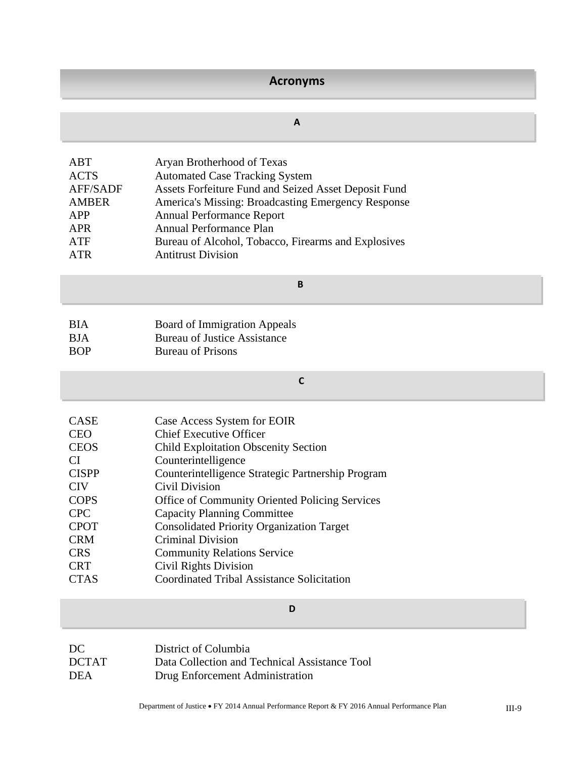# **Acronyms**

#### **A**

| ABT<br><b>ACTS</b><br><b>AFF/SADF</b><br><b>AMBER</b><br>APP<br>APR | Aryan Brotherhood of Texas<br><b>Automated Case Tracking System</b><br>Assets Forfeiture Fund and Seized Asset Deposit Fund<br>America's Missing: Broadcasting Emergency Response<br><b>Annual Performance Report</b><br><b>Annual Performance Plan</b> |
|---------------------------------------------------------------------|---------------------------------------------------------------------------------------------------------------------------------------------------------------------------------------------------------------------------------------------------------|
|                                                                     |                                                                                                                                                                                                                                                         |
| ATF                                                                 | Bureau of Alcohol, Tobacco, Firearms and Explosives                                                                                                                                                                                                     |
| ATR                                                                 | <b>Antitrust Division</b>                                                                                                                                                                                                                               |

#### **B**

| <b>BIA</b> | <b>Board of Immigration Appeals</b> |
|------------|-------------------------------------|
| <b>BJA</b> | <b>Bureau of Justice Assistance</b> |
| <b>BOP</b> | <b>Bureau of Prisons</b>            |

# **C**

| <b>CASE</b>  | Case Access System for EOIR                       |
|--------------|---------------------------------------------------|
| <b>CEO</b>   | <b>Chief Executive Officer</b>                    |
| <b>CEOS</b>  | <b>Child Exploitation Obscenity Section</b>       |
| CI           | Counterintelligence                               |
| <b>CISPP</b> | Counterintelligence Strategic Partnership Program |
| <b>CIV</b>   | Civil Division                                    |
| <b>COPS</b>  | Office of Community Oriented Policing Services    |
| <b>CPC</b>   | <b>Capacity Planning Committee</b>                |
| <b>CPOT</b>  | <b>Consolidated Priority Organization Target</b>  |
| <b>CRM</b>   | <b>Criminal Division</b>                          |
| <b>CRS</b>   | <b>Community Relations Service</b>                |
| <b>CRT</b>   | <b>Civil Rights Division</b>                      |
| <b>CTAS</b>  | <b>Coordinated Tribal Assistance Solicitation</b> |

| DC           | District of Columbia                          |
|--------------|-----------------------------------------------|
| <b>DCTAT</b> | Data Collection and Technical Assistance Tool |
| <b>DEA</b>   | Drug Enforcement Administration               |

**D**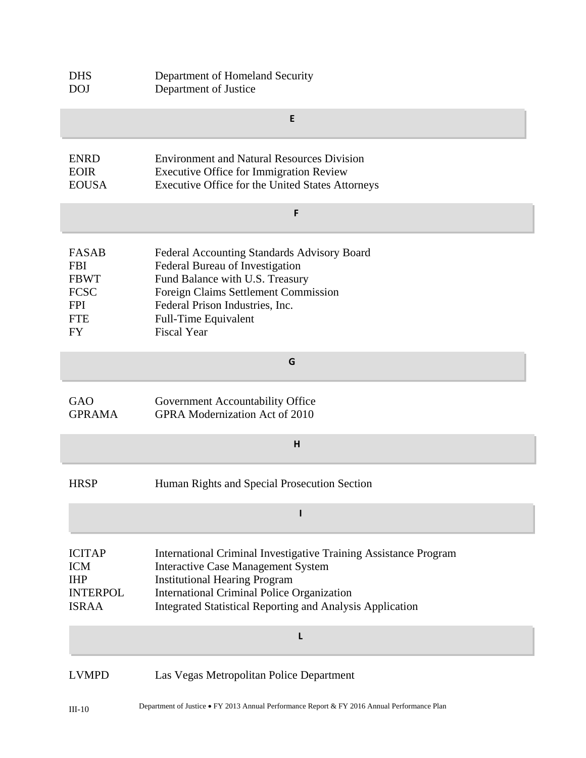| <b>DHS</b><br><b>DOJ</b>                                                                   | Department of Homeland Security<br>Department of Justice                                                                                                                                                                                                                |  |
|--------------------------------------------------------------------------------------------|-------------------------------------------------------------------------------------------------------------------------------------------------------------------------------------------------------------------------------------------------------------------------|--|
|                                                                                            | E                                                                                                                                                                                                                                                                       |  |
| <b>ENRD</b><br><b>EOIR</b><br><b>EOUSA</b>                                                 | <b>Environment and Natural Resources Division</b><br><b>Executive Office for Immigration Review</b><br>Executive Office for the United States Attorneys                                                                                                                 |  |
|                                                                                            | F                                                                                                                                                                                                                                                                       |  |
| <b>FASAB</b><br><b>FBI</b><br><b>FBWT</b><br><b>FCSC</b><br><b>FPI</b><br><b>FTE</b><br>FY | Federal Accounting Standards Advisory Board<br>Federal Bureau of Investigation<br>Fund Balance with U.S. Treasury<br>Foreign Claims Settlement Commission<br>Federal Prison Industries, Inc.<br><b>Full-Time Equivalent</b><br><b>Fiscal Year</b>                       |  |
|                                                                                            | G                                                                                                                                                                                                                                                                       |  |
| GAO<br><b>GPRAMA</b>                                                                       | Government Accountability Office<br><b>GPRA Modernization Act of 2010</b>                                                                                                                                                                                               |  |
| н                                                                                          |                                                                                                                                                                                                                                                                         |  |
| <b>HRSP</b>                                                                                | Human Rights and Special Prosecution Section                                                                                                                                                                                                                            |  |
|                                                                                            |                                                                                                                                                                                                                                                                         |  |
| <b>ICITAP</b><br><b>ICM</b><br><b>IHP</b><br><b>INTERPOL</b><br><b>ISRAA</b>               | International Criminal Investigative Training Assistance Program<br><b>Interactive Case Management System</b><br><b>Institutional Hearing Program</b><br><b>International Criminal Police Organization</b><br>Integrated Statistical Reporting and Analysis Application |  |
|                                                                                            | L                                                                                                                                                                                                                                                                       |  |
| <b>LVMPD</b>                                                                               | Las Vegas Metropolitan Police Department                                                                                                                                                                                                                                |  |
| $III-10$                                                                                   | Department of Justice • FY 2013 Annual Performance Report & FY 2016 Annual Performance Plan                                                                                                                                                                             |  |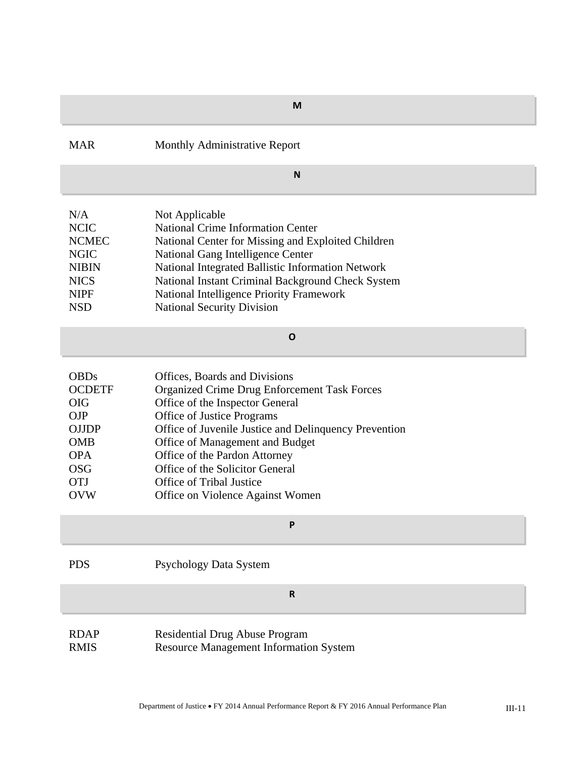| M                                                                                                                                              |                                                                                                                                                                                                                                                                                                                                                                                              |  |  |
|------------------------------------------------------------------------------------------------------------------------------------------------|----------------------------------------------------------------------------------------------------------------------------------------------------------------------------------------------------------------------------------------------------------------------------------------------------------------------------------------------------------------------------------------------|--|--|
| <b>MAR</b>                                                                                                                                     | Monthly Administrative Report                                                                                                                                                                                                                                                                                                                                                                |  |  |
| N                                                                                                                                              |                                                                                                                                                                                                                                                                                                                                                                                              |  |  |
| N/A<br><b>NCIC</b><br><b>NCMEC</b><br><b>NGIC</b><br><b>NIBIN</b><br><b>NICS</b><br><b>NIPF</b><br><b>NSD</b>                                  | Not Applicable<br><b>National Crime Information Center</b><br>National Center for Missing and Exploited Children<br>National Gang Intelligence Center<br>National Integrated Ballistic Information Network<br>National Instant Criminal Background Check System<br>National Intelligence Priority Framework<br><b>National Security Division</b>                                             |  |  |
| $\mathbf{o}$                                                                                                                                   |                                                                                                                                                                                                                                                                                                                                                                                              |  |  |
| <b>OBDs</b><br><b>OCDETF</b><br><b>OIG</b><br><b>OJP</b><br><b>OJJDP</b><br><b>OMB</b><br><b>OPA</b><br><b>OSG</b><br><b>OTJ</b><br><b>OVW</b> | Offices, Boards and Divisions<br><b>Organized Crime Drug Enforcement Task Forces</b><br>Office of the Inspector General<br>Office of Justice Programs<br>Office of Juvenile Justice and Delinquency Prevention<br>Office of Management and Budget<br>Office of the Pardon Attorney<br>Office of the Solicitor General<br><b>Office of Tribal Justice</b><br>Office on Violence Against Women |  |  |
| Ρ                                                                                                                                              |                                                                                                                                                                                                                                                                                                                                                                                              |  |  |
| <b>PDS</b>                                                                                                                                     | Psychology Data System                                                                                                                                                                                                                                                                                                                                                                       |  |  |
|                                                                                                                                                | ${\sf R}$                                                                                                                                                                                                                                                                                                                                                                                    |  |  |
| <b>RDAP</b><br><b>RMIS</b>                                                                                                                     | <b>Residential Drug Abuse Program</b><br><b>Resource Management Information System</b>                                                                                                                                                                                                                                                                                                       |  |  |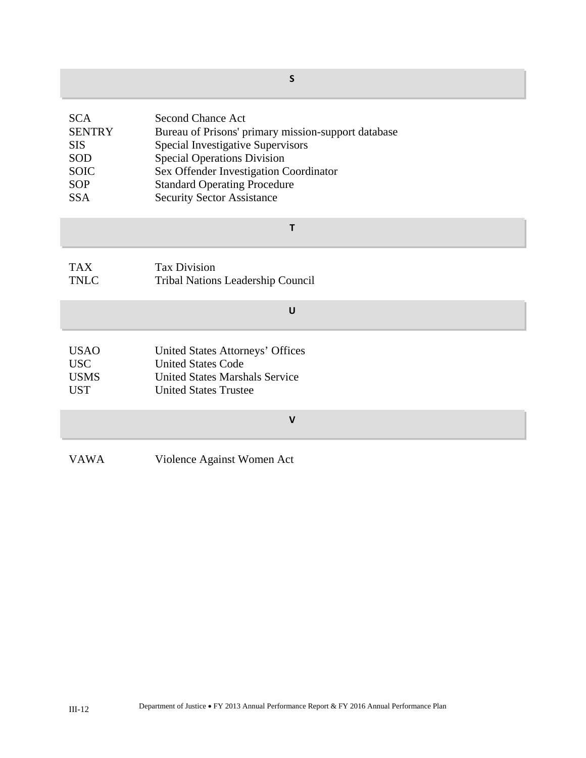| $\mathsf{s}$                                                                                |                                                                                                                                                                                                                                                                                         |  |
|---------------------------------------------------------------------------------------------|-----------------------------------------------------------------------------------------------------------------------------------------------------------------------------------------------------------------------------------------------------------------------------------------|--|
| <b>SCA</b><br><b>SENTRY</b><br><b>SIS</b><br>SOD<br><b>SOIC</b><br><b>SOP</b><br><b>SSA</b> | <b>Second Chance Act</b><br>Bureau of Prisons' primary mission-support database<br><b>Special Investigative Supervisors</b><br><b>Special Operations Division</b><br>Sex Offender Investigation Coordinator<br><b>Standard Operating Procedure</b><br><b>Security Sector Assistance</b> |  |
| T                                                                                           |                                                                                                                                                                                                                                                                                         |  |
| <b>TAX</b><br><b>TNLC</b>                                                                   | <b>Tax Division</b><br><b>Tribal Nations Leadership Council</b>                                                                                                                                                                                                                         |  |
| U                                                                                           |                                                                                                                                                                                                                                                                                         |  |
| <b>USAO</b><br><b>USC</b><br><b>USMS</b><br><b>UST</b>                                      | United States Attorneys' Offices<br><b>United States Code</b><br><b>United States Marshals Service</b><br><b>United States Trustee</b>                                                                                                                                                  |  |
| $\mathsf{V}$                                                                                |                                                                                                                                                                                                                                                                                         |  |
| <b>VAWA</b>                                                                                 | Violence Against Women Act                                                                                                                                                                                                                                                              |  |

×